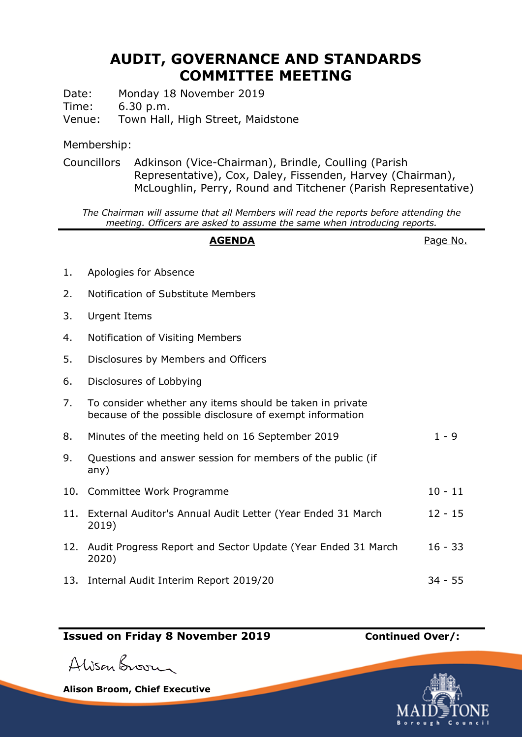# **AUDIT, GOVERNANCE AND STANDARDS COMMITTEE MEETING**

Date: Monday 18 November 2019

Time: 6.30 p.m.

Venue: Town Hall, High Street, Maidstone

### Membership:

Councillors Adkinson (Vice-Chairman), Brindle, Coulling (Parish Representative), Cox, Daley, Fissenden, Harvey (Chairman), McLoughlin, Perry, Round and Titchener (Parish Representative)

*The Chairman will assume that all Members will read the reports before attending the meeting. Officers are asked to assume the same when introducing reports.*

## **AGENDA** Page No.

- 1. Apologies for Absence 2. Notification of Substitute Members 3. Urgent Items 4. Notification of Visiting Members 5. Disclosures by Members and Officers 6. Disclosures of Lobbying 7. To consider whether any items should be taken in private because of the possible disclosure of exempt information 8. Minutes of the meeting held on 16 September 2019 1 - 9 9. Questions and answer session for members of the public (if any) 10. Committee Work Programme 10 - 11 11. External Auditor's Annual Audit Letter (Year Ended 31 March 2019) 12 - 15 12. Audit Progress Report and Sector Update (Year Ended 31 March 2020) 16 - 33
- 13. Internal Audit Interim Report 2019/20 34 55

### **Issued on Friday 8 November 2019 Continued Over/:**

Alison Broom

**Alison Broom, Chief Executive**